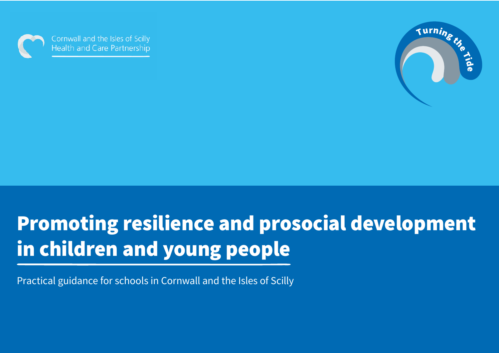

Cornwall and the Isles of Scilly **Health and Care Partnership** 



# Promoting resilience and prosocial development in children and young people

Practical guidance for schools in Cornwall and the Isles of Scilly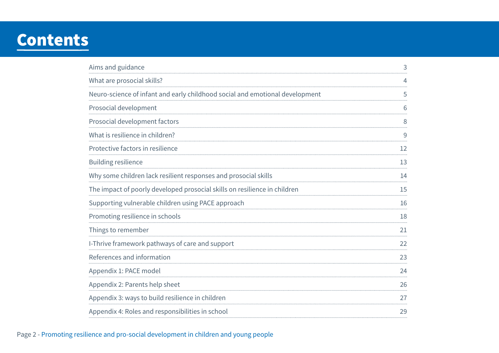## **Contents**

| Aims and guidance                                                            |    |
|------------------------------------------------------------------------------|----|
| What are prosocial skills?                                                   | 4  |
| Neuro-science of infant and early childhood social and emotional development | 5  |
| Prosocial development                                                        | 6  |
| Prosocial development factors                                                | 8  |
| What is resilience in children?                                              | 9  |
| Protective factors in resilience                                             | 12 |
| <b>Building resilience</b>                                                   | 13 |
| Why some children lack resilient responses and prosocial skills              | 14 |
| The impact of poorly developed prosocial skills on resilience in children    | 15 |
| Supporting vulnerable children using PACE approach                           | 16 |
| Promoting resilience in schools                                              | 18 |
| Things to remember                                                           | 21 |
| I-Thrive framework pathways of care and support                              | 22 |
| References and information                                                   | 23 |
| Appendix 1: PACE model                                                       | 24 |
| Appendix 2: Parents help sheet                                               | 26 |
| Appendix 3: ways to build resilience in children                             | 27 |
| Appendix 4: Roles and responsibilities in school                             | 29 |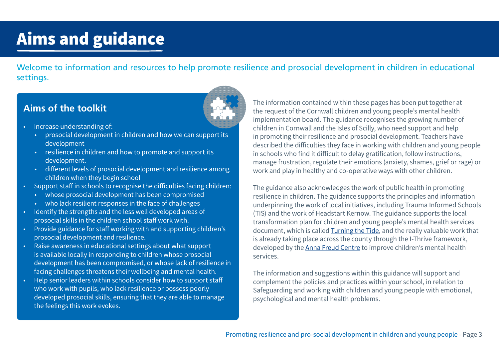# <span id="page-2-0"></span>Aims and guidance

Welcome to information and resources to help promote resilience and prosocial development in children in educational settings.

## **Aims of the toolkit**



- Increase understanding of:
	- prosocial development in children and how we can support its development
	- resilience in children and how to promote and support its development.
	- different levels of prosocial development and resilience among children when they begin school
- Support staff in schools to recognise the difficulties facing children:
	- whose prosocial development has been compromised
	- who lack resilient responses in the face of challenges
- Identify the strengths and the less well developed areas of prosocial skills in the children school staff work with.
- Provide guidance for staff working with and supporting children's prosocial development and resilience.
- Raise awareness in educational settings about what support is available locally in responding to children whose prosocial development has been compromised, or whose lack of resilience in facing challenges threatens their wellbeing and mental health.
- Help senior leaders within schools consider how to support staff who work with pupils, who lack resilience or possess poorly developed prosocial skills, ensuring that they are able to manage the feelings this work evokes.

The information contained within these pages has been put together at the request of the Cornwall children and young people's mental health implementation board. The guidance recognises the growing number of children in Cornwall and the Isles of Scilly, who need support and help in promoting their resilience and prosocial development. Teachers have described the difficulties they face in working with children and young people in schools who find it difficult to delay gratification, follow instructions, manage frustration, regulate their emotions (anxiety, shames, grief or rage) or work and play in healthy and co-operative ways with other children.

The guidance also acknowledges the work of public health in promoting resilience in children. The guidance supports the principles and information underpinning the work of local initiatives, including Trauma Informed Schools (TIS) and the work of Headstart Kernow. The guidance supports the local transformation plan for children and young people's mental health services document, which is called [Turning the Tide](https://www.kernowccg.nhs.uk/your-health/children-and-young-people/mental-health-local-transformation-plan/), and the really valuable work that is already taking place across the county through the I-Thrive framework, developed by the [Anna Freud Centre](http://www.implementingthrive.org) to improve children's mental health services.

The information and suggestions within this guidance will support and complement the policies and practices within your school, in relation to Safeguarding and working with children and young people with emotional, psychological and mental health problems.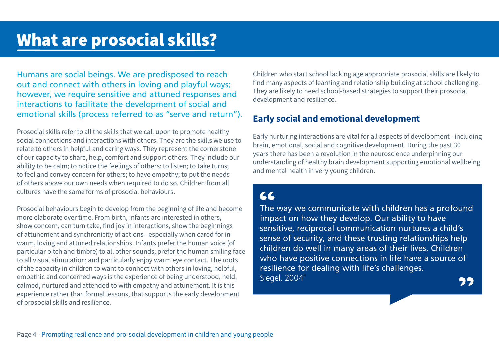<span id="page-3-0"></span>Humans are social beings. We are predisposed to reach out and connect with others in loving and playful ways; however, we require sensitive and attuned responses and interactions to facilitate the development of social and emotional skills (process referred to as "serve and return").

Prosocial skills refer to all the skills that we call upon to promote healthy social connections and interactions with others. They are the skills we use to relate to others in helpful and caring ways. They represent the cornerstone of our capacity to share, help, comfort and support others. They include our ability to be calm; to notice the feelings of others; to listen; to take turns; to feel and convey concern for others; to have empathy; to put the needs of others above our own needs when required to do so. Children from all cultures have the same forms of prosocial behaviours.

Prosocial behaviours begin to develop from the beginning of life and become more elaborate over time. From birth, infants are interested in others, show concern, can turn take, find joy in interactions, show the beginnings of attunement and synchronicity of actions –especially when cared for in warm, loving and attuned relationships. Infants prefer the human voice (of particular pitch and timbre) to all other sounds; prefer the human smiling face to all visual stimulation; and particularly enjoy warm eye contact. The roots of the capacity in children to want to connect with others in loving, helpful, empathic and concerned ways is the experience of being understood, held, calmed, nurtured and attended to with empathy and attunement. It is this experience rather than formal lessons, that supports the early development of prosocial skills and resilience.

Children who start school lacking age appropriate prosocial skills are likely to find many aspects of learning and relationship building at school challenging. They are likely to need school-based strategies to support their prosocial development and resilience.

## **Early social and emotional development**

Early nurturing interactions are vital for all aspects of development –including brain, emotional, social and cognitive development. During the past 30 years there has been a revolution in the neuroscience underpinning our understanding of healthy brain development supporting emotional wellbeing and mental health in very young children.

## $AC$

The way we communicate with children has a profound impact on how they develop. Our ability to have sensitive, reciprocal communication nurtures a child's sense of security, and these trusting relationships help children do well in many areas of their lives. Children who have positive connections in life have a source of resilience for dealing with life's challenges. Siegel, 200[41](#page-22-0)22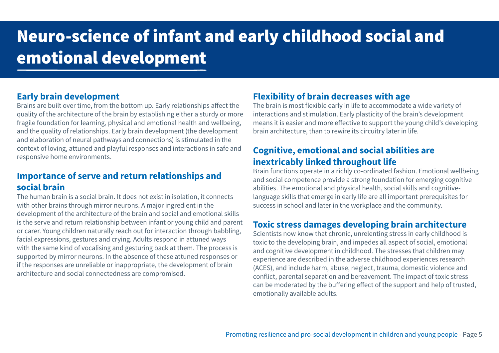## <span id="page-4-0"></span>Neuro-science of infant and early childhood social and emotional development

### **Early brain development**

Brains are built over time, from the bottom up. Early relationships affect the quality of the architecture of the brain by establishing either a sturdy or more fragile foundation for learning, physical and emotional health and wellbeing, and the quality of relationships. Early brain development (the development and elaboration of neural pathways and connections) is stimulated in the context of loving, attuned and playful responses and interactions in safe and responsive home environments.

### **Importance of serve and return relationships and social brain**

The human brain is a social brain. It does not exist in isolation, it connects with other brains through mirror neurons. A major ingredient in the development of the architecture of the brain and social and emotional skills is the serve and return relationship between infant or young child and parent or carer. Young children naturally reach out for interaction through babbling, facial expressions, gestures and crying. Adults respond in attuned ways with the same kind of vocalising and gesturing back at them. The process is supported by mirror neurons. In the absence of these attuned responses or if the responses are unreliable or inappropriate, the development of brain architecture and social connectedness are compromised.

### **Flexibility of brain decreases with age**

The brain is most flexible early in life to accommodate a wide variety of interactions and stimulation. Early plasticity of the brain's development means it is easier and more effective to support the young child's developing brain architecture, than to rewire its circuitry later in life.

## **Cognitive, emotional and social abilities are inextricably linked throughout life**

Brain functions operate in a richly co-ordinated fashion. Emotional wellbeing and social competence provide a strong foundation for emerging cognitive abilities. The emotional and physical health, social skills and cognitivelanguage skills that emerge in early life are all important prerequisites for success in school and later in the workplace and the community.

### **Toxic stress damages developing brain architecture**

Scientists now know that chronic, unrelenting stress in early childhood is toxic to the developing brain, and impedes all aspect of social, emotional and cognitive development in childhood. The stresses that children may experience are described in the adverse childhood experiences research (ACES), and include harm, abuse, neglect, trauma, domestic violence and conflict, parental separation and bereavement. The impact of toxic stress can be moderated by the buffering effect of the support and help of trusted, emotionally available adults.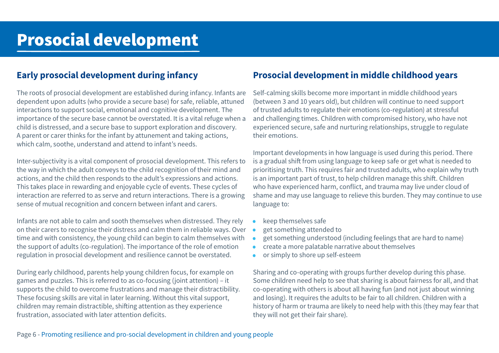### <span id="page-5-0"></span>**Early prosocial development during infancy**

The roots of prosocial development are established during infancy. Infants are dependent upon adults (who provide a secure base) for safe, reliable, attuned interactions to support social, emotional and cognitive development. The importance of the secure base cannot be overstated. It is a vital refuge when a child is distressed, and a secure base to support exploration and discovery. A parent or carer thinks for the infant by attunement and taking actions, which calm, soothe, understand and attend to infant's needs.

Inter-subjectivity is a vital component of prosocial development. This refers to the way in which the adult conveys to the child recognition of their mind and actions, and the child then responds to the adult's expressions and actions. This takes place in rewarding and enjoyable cycle of events. These cycles of interaction are referred to as serve and return interactions. There is a growing sense of mutual recognition and concern between infant and carers.

Infants are not able to calm and sooth themselves when distressed. They rely on their carers to recognise their distress and calm them in reliable ways. Over time and with consistency, the young child can begin to calm themselves with the support of adults (co-regulation). The importance of the role of emotion regulation in prosocial development and resilience cannot be overstated.

During early childhood, parents help young children focus, for example on games and puzzles. This is referred to as co-focusing (joint attention) – it supports the child to overcome frustrations and manage their distractibility. These focusing skills are vital in later learning. Without this vital support, children may remain distractible, shifting attention as they experience frustration, associated with later attention deficits.

### **Prosocial development in middle childhood years**

Self-calming skills become more important in middle childhood years (between 3 and 10 years old), but children will continue to need support of trusted adults to regulate their emotions (co-regulation) at stressful and challenging times. Children with compromised history, who have not experienced secure, safe and nurturing relationships, struggle to regulate their emotions.

Important developments in how language is used during this period. There is a gradual shift from using language to keep safe or get what is needed to prioritising truth. This requires fair and trusted adults, who explain why truth is an important part of trust, to help children manage this shift. Children who have experienced harm, conflict, and trauma may live under cloud of shame and may use language to relieve this burden. They may continue to use language to:

- keep themselves safe
- get something attended to
- get something understood (including feelings that are hard to name)
- create a more palatable narrative about themselves
- or simply to shore up self-esteem

Sharing and co-operating with groups further develop during this phase. Some children need help to see that sharing is about fairness for all, and that co-operating with others is about all having fun (and not just about winning and losing). It requires the adults to be fair to all children. Children with a history of harm or trauma are likely to need help with this (they may fear that they will not get their fair share).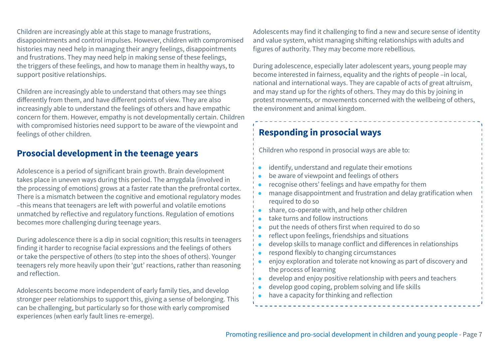Children are increasingly able at this stage to manage frustrations, disappointments and control impulses. However, children with compromised histories may need help in managing their angry feelings, disappointments and frustrations. They may need help in making sense of these feelings, the triggers of these feelings, and how to manage them in healthy ways, to support positive relationships.

Children are increasingly able to understand that others may see things differently from them, and have different points of view. They are also increasingly able to understand the feelings of others and have empathic concern for them. However, empathy is not developmentally certain. Children with compromised histories need support to be aware of the viewpoint and feelings of other children.

### **Prosocial development in the teenage years**

Adolescence is a period of significant brain growth. Brain development takes place in uneven ways during this period. The amygdala (involved in the processing of emotions) grows at a faster rate than the prefrontal cortex. There is a mismatch between the cognitive and emotional regulatory modes –this means that teenagers are left with powerful and volatile emotions unmatched by reflective and regulatory functions. Regulation of emotions becomes more challenging during teenage years.

During adolescence there is a dip in social cognition; this results in teenagers finding it harder to recognise facial expressions and the feelings of others or take the perspective of others (to step into the shoes of others). Younger teenagers rely more heavily upon their 'gut' reactions, rather than reasoning and reflection.

Adolescents become more independent of early family ties, and develop stronger peer relationships to support this, giving a sense of belonging. This can be challenging, but particularly so for those with early compromised experiences (when early fault lines re-emerge).

Adolescents may find it challenging to find a new and secure sense of identity and value system, whist managing shifting relationships with adults and figures of authority. They may become more rebellious.

During adolescence, especially later adolescent years, young people may become interested in fairness, equality and the rights of people –in local, national and international ways. They are capable of acts of great altruism, and may stand up for the rights of others. They may do this by joining in protest movements, or movements concerned with the wellbeing of others, the environment and animal kingdom.

## **Responding in prosocial ways**

Children who respond in prosocial ways are able to:

- identify, understand and regulate their emotions
- be aware of viewpoint and feelings of others
- recognise others' feelings and have empathy for them
- manage disappointment and frustration and delay gratification when required to do so
- share, co-operate with, and help other children
- take turns and follow instructions
- put the needs of others first when required to do so
- reflect upon feelings, friendships and situations
- develop skills to manage conflict and differences in relationships
- respond flexibly to changing circumstances
- enjoy exploration and tolerate not knowing as part of discovery and the process of learning
- develop and enjoy positive relationship with peers and teachers
- develop good coping, problem solving and life skills
- have a capacity for thinking and reflection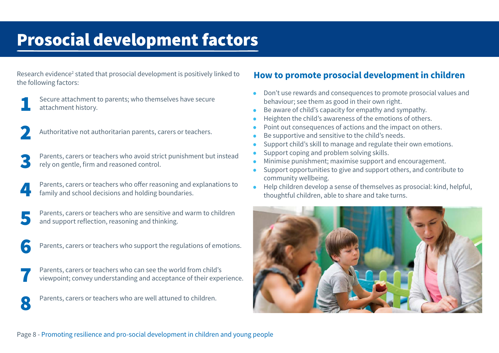## <span id="page-7-0"></span>Prosocial development factors

Research evidence<sup>[2](#page-22-0)</sup> stated that prosocial development is positively linked to the following factors:



Secure attachment to parents; who themselves have secure attachment history.



Authoritative not authoritarian parents, carers or teachers.

Parents, carers or teachers who avoid strict punishment but instead rely on gentle, firm and reasoned control.

Parents, carers or teachers who offer reasoning and explanations to family and school decisions and holding boundaries.

Parents, carers or teachers who are sensitive and warm to children and support reflection, reasoning and thinking.

**6** Parents, carers or teachers who support the regulations of emotions.

Parents, carers or teachers who can see the world from child's viewpoint; convey understanding and acceptance of their experience.

Parents, carers or teachers who are well attuned to children.

## **How to promote prosocial development in children**

- Don't use rewards and consequences to promote prosocial values and behaviour; see them as good in their own right.
- Be aware of child's capacity for empathy and sympathy.
- Heighten the child's awareness of the emotions of others.
- Point out consequences of actions and the impact on others.
- Be supportive and sensitive to the child's needs.
- Support child's skill to manage and regulate their own emotions.
- Support coping and problem solving skills.
- Minimise punishment; maximise support and encouragement.
- Support opportunities to give and support others, and contribute to community wellbeing.
- Help children develop a sense of themselves as prosocial: kind, helpful, thoughtful children, able to share and take turns.

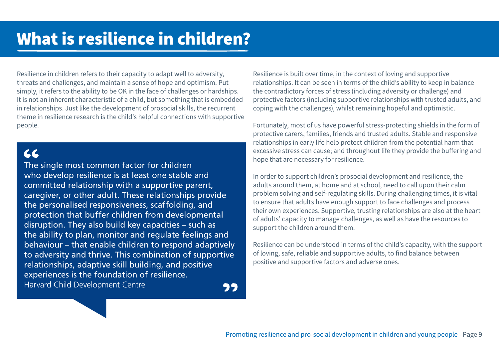<span id="page-8-0"></span>Resilience in children refers to their capacity to adapt well to adversity, threats and challenges, and maintain a sense of hope and optimism. Put simply, it refers to the ability to be OK in the face of challenges or hardships. It is not an inherent characteristic of a child, but something that is embedded in relationships. Just like the development of prosocial skills, the recurrent theme in resilience research is the child's helpful connections with supportive people.

## $66$

The single most common factor for children who develop resilience is at least one stable and committed relationship with a supportive parent, caregiver, or other adult. These relationships provide the personalised responsiveness, scaffolding, and protection that buffer children from developmental disruption. They also build key capacities – such as the ability to plan, monitor and regulate feelings and behaviour – that enable children to respond adaptively to adversity and thrive. This combination of supportive relationships, adaptive skill building, and positive experiences is the foundation of resilience. Harvard Child Development Centre99 Resilience is built over time, in the context of loving and supportive relationships. It can be seen in terms of the child's ability to keep in balance the contradictory forces of stress (including adversity or challenge) and protective factors (including supportive relationships with trusted adults, and coping with the challenges), whilst remaining hopeful and optimistic.

Fortunately, most of us have powerful stress-protecting shields in the form of protective carers, families, friends and trusted adults. Stable and responsive relationships in early life help protect children from the potential harm that excessive stress can cause; and throughout life they provide the buffering and hope that are necessary for resilience.

In order to support children's prosocial development and resilience, the adults around them, at home and at school, need to call upon their calm problem solving and self-regulating skills. During challenging times, it is vital to ensure that adults have enough support to face challenges and process their own experiences. Supportive, trusting relationships are also at the heart of adults' capacity to manage challenges, as well as have the resources to support the children around them.

Resilience can be understood in terms of the child's capacity, with the support of loving, safe, reliable and supportive adults, to find balance between positive and supportive factors and adverse ones.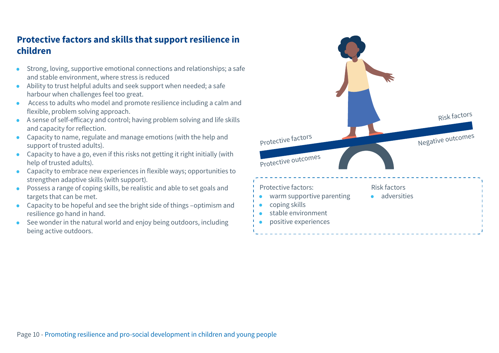## **Protective factors and skills that support resilience in children**

- Strong, loving, supportive emotional connections and relationships; a safe and stable environment, where stress is reduced
- Ability to trust helpful adults and seek support when needed; a safe harbour when challenges feel too great.
- Access to adults who model and promote resilience including a calm and flexible, problem solving approach.
- A sense of self-efficacy and control; having problem solving and life skills and capacity for reflection.
- Capacity to name, regulate and manage emotions (with the help and support of trusted adults).
- Capacity to have a go, even if this risks not getting it right initially (with help of trusted adults).
- Capacity to embrace new experiences in flexible ways; opportunities to strengthen adaptive skills (with support).
- Possess a range of coping skills, be realistic and able to set goals and targets that can be met.
- Capacity to be hopeful and see the bright side of things –optimism and resilience go hand in hand.
- See wonder in the natural world and enjoy being outdoors, including being active outdoors.

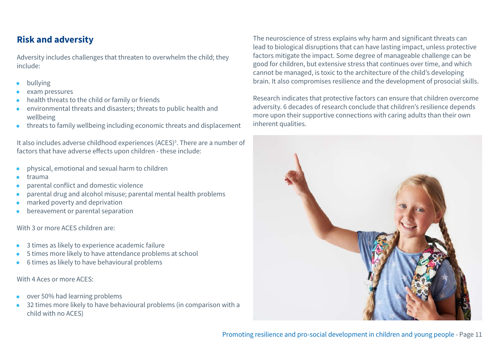## <span id="page-10-0"></span>**Risk and adversity**

Adversity includes challenges that threaten to overwhelm the child; they include:

- bullying
- exam pressures
- health threats to the child or family or friends
- environmental threats and disasters; threats to public health and wellbeing
- threats to family wellbeing including economic threats and displacement

It also includes adverse childhood experiences (ACES)<sup>3</sup>. There are a number of factors that have adverse effects upon children - these include:

- physical, emotional and sexual harm to children
- trauma
- parental conflict and domestic violence
- parental drug and alcohol misuse; parental mental health problems
- marked poverty and deprivation
- bereavement or parental separation

With 3 or more ACES children are:

- 3 times as likely to experience academic failure
- 5 times more likely to have attendance problems at school
- 6 times as likely to have behavioural problems

With 4 Aces or more ACES:

- over 50% had learning problems
- 32 times more likely to have behavioural problems (in comparison with a child with no ACES)

The neuroscience of stress explains why harm and significant threats can lead to biological disruptions that can have lasting impact, unless protective factors mitigate the impact. Some degree of manageable challenge can be good for children, but extensive stress that continues over time, and which cannot be managed, is toxic to the architecture of the child's developing brain. It also compromises resilience and the development of prosocial skills.

Research indicates that protective factors can ensure that children overcome adversity. 6 decades of research conclude that children's resilience depends more upon their supportive connections with caring adults than their own inherent qualities.

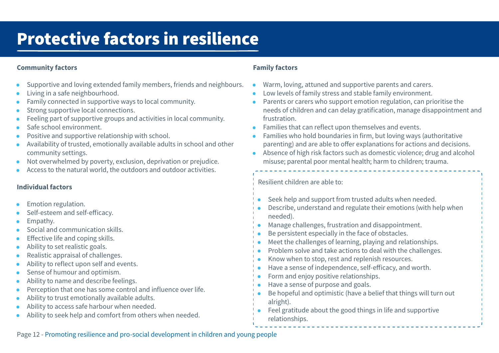## <span id="page-11-0"></span>Protective factors in resilience

### **Community factors**

- Supportive and loving extended family members, friends and neighbours.
- Living in a safe neighbourhood.
- Family connected in supportive ways to local community.
- Strong supportive local connections.
- Feeling part of supportive groups and activities in local community.
- Safe school environment.
- Positive and supportive relationship with school.
- Availability of trusted, emotionally available adults in school and other community settings.
- Not overwhelmed by poverty, exclusion, deprivation or prejudice.
- Access to the natural world, the outdoors and outdoor activities.

### **Individual factors**

- Emotion regulation.
- Self-esteem and self-efficacy.
- Empathy.
- Social and communication skills.
- Effective life and coping skills.
- Ability to set realistic goals.
- Realistic appraisal of challenges.
- Ability to reflect upon self and events.
- Sense of humour and optimism.
- Ability to name and describe feelings.
- Perception that one has some control and influence over life.
- Ability to trust emotionally available adults.
- Ability to access safe harbour when needed.
- Ability to seek help and comfort from others when needed.

### **Family factors**

- Warm, loving, attuned and supportive parents and carers.
- Low levels of family stress and stable family environment.
- Parents or carers who support emotion regulation, can prioritise the needs of children and can delay gratification, manage disappointment and frustration.
- Families that can reflect upon themselves and events.
- Families who hold boundaries in firm, but loving ways (authoritative parenting) and are able to offer explanations for actions and decisions.
- Absence of high risk factors such as domestic violence; drug and alcohol misuse; parental poor mental health; harm to children; trauma.

Resilient children are able to:

- Seek help and support from trusted adults when needed.
- Describe, understand and regulate their emotions (with help when needed).
- Manage challenges, frustration and disappointment.
- Be persistent especially in the face of obstacles.
- Meet the challenges of learning, playing and relationships.
- Problem solve and take actions to deal with the challenges.
- Know when to stop, rest and replenish resources.
- Have a sense of independence, self-efficacy, and worth.
- Form and enjoy positive relationships.
- Have a sense of purpose and goals.
- Be hopeful and optimistic (have a belief that things will turn out alright).
- Feel gratitude about the good things in life and supportive relationships.

Page 12 - Promoting resilience and pro-social development in children and young people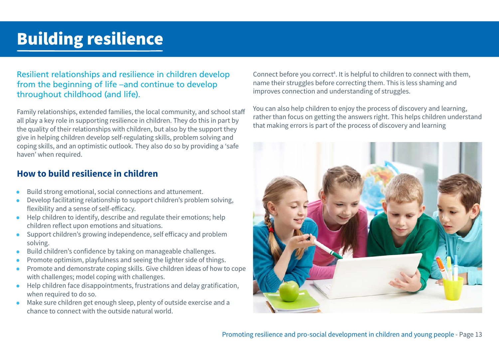## <span id="page-12-0"></span>Building resilience

### Resilient relationships and resilience in children develop from the beginning of life –and continue to develop throughout childhood (and life).

Family relationships, extended families, the local community, and school staff all play a key role in supporting resilience in children. They do this in part by the quality of their relationships with children, but also by the support they give in helping children develop self-regulating skills, problem solving and coping skills, and an optimistic outlook. They also do so by providing a 'safe haven' when required.

### **How to build resilience in children**

- Build strong emotional, social connections and attunement.
- Develop facilitating relationship to support children's problem solving, flexibility and a sense of self-efficacy.
- Help children to identify, describe and regulate their emotions; help children reflect upon emotions and situations.
- Support children's growing independence, self efficacy and problem solving.
- Build children's confidence by taking on manageable challenges.
- Promote optimism, playfulness and seeing the lighter side of things.
- Promote and demonstrate coping skills. Give children ideas of how to cope with challenges; model coping with challenges.
- Help children face disappointments, frustrations and delay gratification, when required to do so.
- Make sure children get enough sleep, plenty of outside exercise and a chance to connect with the outside natural world.

Connect before you correct<sup>[4](#page-22-0)</sup>. It is helpful to children to connect with them, name their struggles before correcting them. This is less shaming and improves connection and understanding of struggles.

You can also help children to enjoy the process of discovery and learning, rather than focus on getting the answers right. This helps children understand that making errors is part of the process of discovery and learning

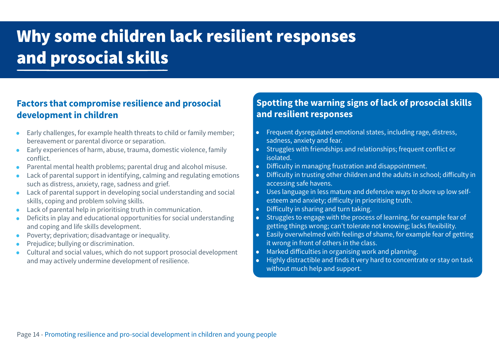# <span id="page-13-0"></span>Why some children lack resilient responses and prosocial skills

## **Factors that compromise resilience and prosocial development in children**

- Early challenges, for example health threats to child or family member; bereavement or parental divorce or separation.
- Early experiences of harm, abuse, trauma, domestic violence, family conflict.
- Parental mental health problems; parental drug and alcohol misuse.
- Lack of parental support in identifying, calming and regulating emotions such as distress, anxiety, rage, sadness and grief.
- Lack of parental support in developing social understanding and social skills, coping and problem solving skills.
- Lack of parental help in prioritising truth in communication.
- Deficits in play and educational opportunities for social understanding and coping and life skills development.
- Poverty; deprivation; disadvantage or inequality.
- Prejudice; bullying or discrimination.
- Cultural and social values, which do not support prosocial development and may actively undermine development of resilience.

## **Spotting the warning signs of lack of prosocial skills and resilient responses**

- Frequent dysregulated emotional states, including rage, distress, sadness, anxiety and fear.
- Struggles with friendships and relationships; frequent conflict or isolated.
- Difficulty in managing frustration and disappointment.
- Difficulty in trusting other children and the adults in school; difficulty in accessing safe havens.
- Uses language in less mature and defensive ways to shore up low selfesteem and anxiety; difficulty in prioritising truth.
- Difficulty in sharing and turn taking.
- Struggles to engage with the process of learning, for example fear of getting things wrong; can't tolerate not knowing; lacks flexibility.
- Easily overwhelmed with feelings of shame, for example fear of getting it wrong in front of others in the class.
- Marked difficulties in organising work and planning.
- Highly distractible and finds it very hard to concentrate or stay on task without much help and support.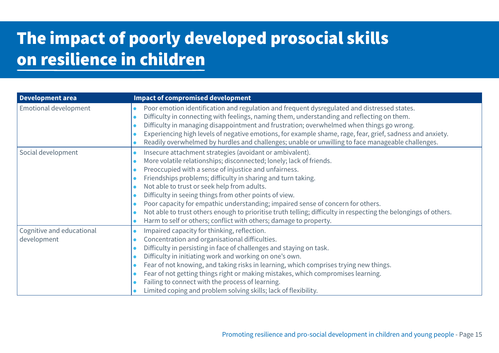## <span id="page-14-0"></span>The impact of poorly developed prosocial skills on resilience in children

| <b>Development area</b>                  | <b>Impact of compromised development</b>                                                                                                                                                                                                                                                                                                                                                                                                                                                                                                                                                                                                     |
|------------------------------------------|----------------------------------------------------------------------------------------------------------------------------------------------------------------------------------------------------------------------------------------------------------------------------------------------------------------------------------------------------------------------------------------------------------------------------------------------------------------------------------------------------------------------------------------------------------------------------------------------------------------------------------------------|
| <b>Emotional development</b>             | Poor emotion identification and regulation and frequent dysregulated and distressed states.<br>Difficulty in connecting with feelings, naming them, understanding and reflecting on them.<br>Difficulty in managing disappointment and frustration; overwhelmed when things go wrong.<br>Experiencing high levels of negative emotions, for example shame, rage, fear, grief, sadness and anxiety.<br>Readily overwhelmed by hurdles and challenges; unable or unwilling to face manageable challenges.                                                                                                                                      |
| Social development                       | Insecure attachment strategies (avoidant or ambivalent).<br>More volatile relationships; disconnected; lonely; lack of friends.<br>Preoccupied with a sense of injustice and unfairness.<br>Friendships problems; difficulty in sharing and turn taking.<br>Not able to trust or seek help from adults.<br>Difficulty in seeing things from other points of view.<br>Poor capacity for empathic understanding; impaired sense of concern for others.<br>Not able to trust others enough to prioritise truth telling; difficulty in respecting the belongings of others.<br>Harm to self or others; conflict with others; damage to property. |
| Cognitive and educational<br>development | Impaired capacity for thinking, reflection.<br>Concentration and organisational difficulties.<br>Difficulty in persisting in face of challenges and staying on task.<br>Difficulty in initiating work and working on one's own.<br>Fear of not knowing, and taking risks in learning, which comprises trying new things.<br>Fear of not getting things right or making mistakes, which compromises learning.<br>Failing to connect with the process of learning.<br>Limited coping and problem solving skills; lack of flexibility.                                                                                                          |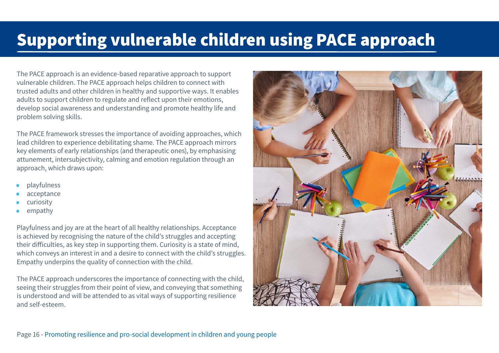## <span id="page-15-0"></span>Supporting vulnerable children using PACE approach

The PACE approach is an evidence-based reparative approach to support vulnerable children. The PACE approach helps children to connect with trusted adults and other children in healthy and supportive ways. It enables adults to support children to regulate and reflect upon their emotions, develop social awareness and understanding and promote healthy life and problem solving skills.

The PACE framework stresses the importance of avoiding approaches, which lead children to experience debilitating shame. The PACE approach mirrors key elements of early relationships (and therapeutic ones), by emphasising attunement, intersubjectivity, calming and emotion regulation through an approach, which draws upon:

- playfulness
- acceptance
- curiosity
- empathy

Playfulness and joy are at the heart of all healthy relationships. Acceptance is achieved by recognising the nature of the child's struggles and accepting their difficulties, as key step in supporting them. Curiosity is a state of mind, which conveys an interest in and a desire to connect with the child's struggles. Empathy underpins the quality of connection with the child.

The PACE approach underscores the importance of connecting with the child, seeing their struggles from their point of view, and conveying that something is understood and will be attended to as vital ways of supporting resilience and self-esteem.

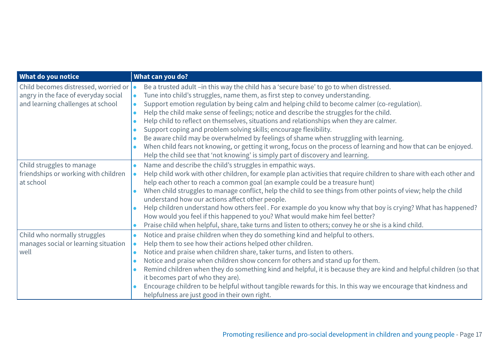| What do you notice                                                                                                | What can you do?                                                                                                                                                                                                                                                                                                                                                                                                                                                                                                                                                                                                                                                                                                                                                                                                                     |
|-------------------------------------------------------------------------------------------------------------------|--------------------------------------------------------------------------------------------------------------------------------------------------------------------------------------------------------------------------------------------------------------------------------------------------------------------------------------------------------------------------------------------------------------------------------------------------------------------------------------------------------------------------------------------------------------------------------------------------------------------------------------------------------------------------------------------------------------------------------------------------------------------------------------------------------------------------------------|
| Child becomes distressed, worried or<br>angry in the face of everyday social<br>and learning challenges at school | Be a trusted adult -in this way the child has a 'secure base' to go to when distressed.<br>Tune into child's struggles, name them, as first step to convey understanding.<br>Support emotion regulation by being calm and helping child to become calmer (co-regulation).<br>Help the child make sense of feelings; notice and describe the struggles for the child.<br>Help child to reflect on themselves, situations and relationships when they are calmer.<br>Support coping and problem solving skills; encourage flexibility.<br>Be aware child may be overwhelmed by feelings of shame when struggling with learning.<br>When child fears not knowing, or getting it wrong, focus on the process of learning and how that can be enjoyed.<br>Help the child see that 'not knowing' is simply part of discovery and learning. |
| Child struggles to manage<br>friendships or working with children<br>at school                                    | Name and describe the child's struggles in empathic ways.<br>Help child work with other children, for example plan activities that require children to share with each other and<br>help each other to reach a common goal (an example could be a treasure hunt)<br>When child struggles to manage conflict, help the child to see things from other points of view; help the child<br>understand how our actions affect other people.<br>Help children understand how others feel. For example do you know why that boy is crying? What has happened?<br>How would you feel if this happened to you? What would make him feel better?<br>Praise child when helpful, share, take turns and listen to others; convey he or she is a kind child.                                                                                       |
| Child who normally struggles<br>manages social or learning situation<br>well                                      | Notice and praise children when they do something kind and helpful to others.<br>Help them to see how their actions helped other children.<br>Notice and praise when children share, taker turns, and listen to others.<br>Notice and praise when children show concern for others and stand up for them.<br>Remind children when they do something kind and helpful, it is because they are kind and helpful children (so that<br>it becomes part of who they are).<br>Encourage children to be helpful without tangible rewards for this. In this way we encourage that kindness and<br>helpfulness are just good in their own right.                                                                                                                                                                                              |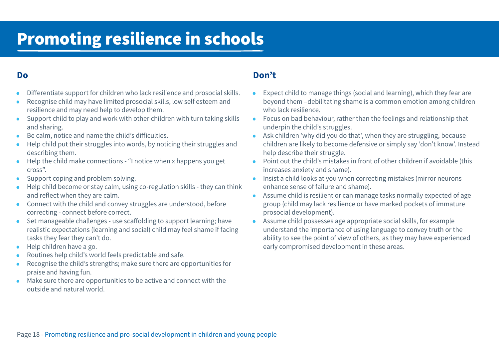## <span id="page-17-0"></span>Promoting resilience in schools

### **Do**

- Differentiate support for children who lack resilience and prosocial skills.
- Recognise child may have limited prosocial skills, low self esteem and resilience and may need help to develop them.
- Support child to play and work with other children with turn taking skills and sharing.
- Be calm, notice and name the child's difficulties.
- Help child put their struggles into words, by noticing their struggles and describing them.
- Help the child make connections "I notice when x happens you get cross".
- Support coping and problem solving.
- Help child become or stay calm, using co-regulation skills they can think and reflect when they are calm.
- Connect with the child and convey struggles are understood, before correcting - connect before correct.
- Set manageable challenges use scaffolding to support learning; have realistic expectations (learning and social) child may feel shame if facing tasks they fear they can't do.
- Help children have a go.
- Routines help child's world feels predictable and safe.
- Recognise the child's strengths; make sure there are opportunities for praise and having fun.
- Make sure there are opportunities to be active and connect with the outside and natural world.

### **Don't**

- Expect child to manage things (social and learning), which they fear are beyond them –debilitating shame is a common emotion among children who lack resilience.
- Focus on bad behaviour, rather than the feelings and relationship that underpin the child's struggles.
- Ask children 'why did you do that', when they are struggling, because children are likely to become defensive or simply say 'don't know'. Instead help describe their struggle.
- Point out the child's mistakes in front of other children if avoidable (this increases anxiety and shame).
- Insist a child looks at you when correcting mistakes (mirror neurons enhance sense of failure and shame).
- Assume child is resilient or can manage tasks normally expected of age group (child may lack resilience or have marked pockets of immature prosocial development).
- Assume child possesses age appropriate social skills, for example understand the importance of using language to convey truth or the ability to see the point of view of others, as they may have experienced early compromised development in these areas.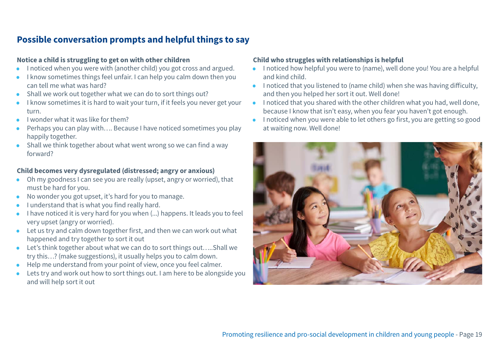## **Possible conversation prompts and helpful things to say**

### **Notice a child is struggling to get on with other children**

- I noticed when you were with (another child) you got cross and argued.
- I know sometimes things feel unfair. I can help you calm down then you can tell me what was hard?
- Shall we work out together what we can do to sort things out?
- I know sometimes it is hard to wait your turn, if it feels you never get your turn.
- I wonder what it was like for them?
- Perhaps you can play with…. Because I have noticed sometimes you play happily together.
- Shall we think together about what went wrong so we can find a way forward?

### **Child becomes very dysregulated (distressed; angry or anxious)**

- Oh my goodness I can see you are really (upset, angry or worried), that must be hard for you.
- No wonder you got upset, it's hard for you to manage.
- I understand that is what you find really hard.
- I have noticed it is very hard for you when (...) happens. It leads you to feel very upset (angry or worried).
- Let us try and calm down together first, and then we can work out what happened and try together to sort it out
- Let's think together about what we can do to sort things out…..Shall we try this…? (make suggestions), it usually helps you to calm down.
- Help me understand from your point of view, once you feel calmer.
- Lets try and work out how to sort things out. I am here to be alongside you and will help sort it out

### **Child who struggles with relationships is helpful**

- I noticed how helpful you were to (name), well done you! You are a helpful and kind child.
- I noticed that you listened to (name child) when she was having difficulty, and then you helped her sort it out. Well done!
- I noticed that you shared with the other children what you had, well done, because I know that isn't easy, when you fear you haven't got enough.
- I noticed when you were able to let others go first, you are getting so good at waiting now. Well done!

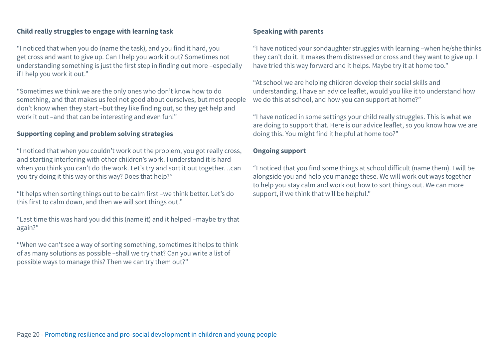### **Child really struggles to engage with learning task**

"I noticed that when you do (name the task), and you find it hard, you get cross and want to give up. Can I help you work it out? Sometimes not understanding something is just the first step in finding out more –especially if I help you work it out."

"Sometimes we think we are the only ones who don't know how to do something, and that makes us feel not good about ourselves, but most people don't know when they start –but they like finding out, so they get help and work it out –and that can be interesting and even fun!"

### **Supporting coping and problem solving strategies**

"I noticed that when you couldn't work out the problem, you got really cross, and starting interfering with other children's work. I understand it is hard when you think you can't do the work. Let's try and sort it out together…can you try doing it this way or this way? Does that help?"

"It helps when sorting things out to be calm first –we think better. Let's do this first to calm down, and then we will sort things out."

"Last time this was hard you did this (name it) and it helped –maybe try that again?"

"When we can't see a way of sorting something, sometimes it helps to think of as many solutions as possible –shall we try that? Can you write a list of possible ways to manage this? Then we can try them out?"

### **Speaking with parents**

"I have noticed your sondaughter struggles with learning –when he/she thinks they can't do it. It makes them distressed or cross and they want to give up. I have tried this way forward and it helps. Maybe try it at home too."

"At school we are helping children develop their social skills and understanding. I have an advice leaflet, would you like it to understand how we do this at school, and how you can support at home?"

"I have noticed in some settings your child really struggles. This is what we are doing to support that. Here is our advice leaflet, so you know how we are doing this. You might find it helpful at home too?"

### **Ongoing support**

"I noticed that you find some things at school difficult (name them). I will be alongside you and help you manage these. We will work out ways together to help you stay calm and work out how to sort things out. We can more support, if we think that will be helpful."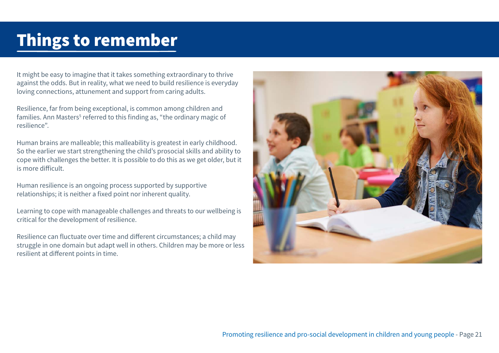## <span id="page-20-0"></span>Things to remember

It might be easy to imagine that it takes something extraordinary to thrive against the odds. But in reality, what we need to build resilience is everyday loving connections, attunement and support from caring adults.

Resilience, far from being exceptional, is common among children and families. Ann Masters<sup>[5](#page-22-0)</sup> referred to this finding as, "the ordinary magic of resilience".

Human brains are malleable; this malleability is greatest in early childhood. So the earlier we start strengthening the child's prosocial skills and ability to cope with challenges the better. It is possible to do this as we get older, but it is more difficult.

Human resilience is an ongoing process supported by supportive relationships; it is neither a fixed point nor inherent quality.

Learning to cope with manageable challenges and threats to our wellbeing is critical for the development of resilience.

Resilience can fluctuate over time and different circumstances; a child may struggle in one domain but adapt well in others. Children may be more or less resilient at different points in time.

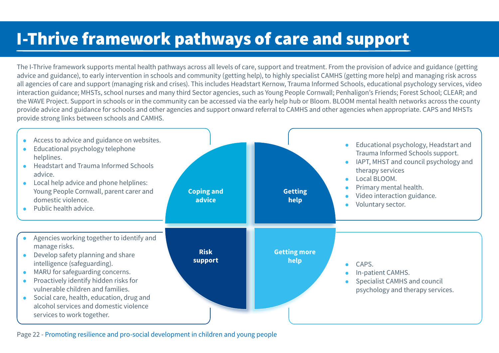## <span id="page-21-0"></span>I-Thrive framework pathways of care and support

The I-Thrive framework supports mental health pathways across all levels of care, support and treatment. From the provision of advice and guidance (getting advice and guidance), to early intervention in schools and community (getting help), to highly specialist CAMHS (getting more help) and managing risk across all agencies of care and support (managing risk and crises). This includes Headstart Kernow, Trauma Informed Schools, educational psychology services, video interaction guidance; MHSTs, school nurses and many third Sector agencies, such as Young People Cornwall; Penhaligon's Friends; Forest School; CLEAR; and the WAVE Project. Support in schools or in the community can be accessed via the early help hub or Bloom. BLOOM mental health networks across the county provide advice and guidance for schools and other agencies and support onward referral to CAMHS and other agencies when appropriate. CAPS and MHSTs provide strong links between schools and CAMHS.



Page 22 - Promoting resilience and pro-social development in children and young people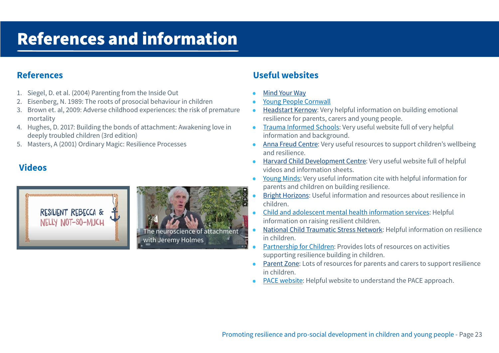## <span id="page-22-0"></span>References and information

## **References**

- 1. Siegel, D. et al. (2004) Parenting from the Inside Out
- 2. [E](#page-7-0)isenberg, N. 1989: The roots of prosocial behaviour in children
- 3. [B](#page-10-0)rown et. al, 2009: Adverse childhood experiences: the risk of premature mortality
- 4. [H](#page-12-0)ughes, D. 2017: Building the bonds of attachment: Awakening love in deeply troubled children (3rd edition)
- 5. [Ma](#page-20-0)sters, A (2001) Ordinary Magic: Resilience Processes

## **Videos**





## **Useful websites**

- [Mind Your Way](http://www.mindyourway.co.uk)
- [Young People Cornwall](http://www.youngpeoplecornwall.org)
- [Headstart Kernow:](http://www.headstartkernow.org.uk) Very helpful information on building emotional resilience for parents, carers and young people.
- [Trauma Informed Schools](http://www.traumainformedschool.co.uk): Very useful website full of very helpful information and background.
- [Anna Freud Centre](http://www.annafreud.org): Very useful resources to support children's wellbeing and resilience.
- [Harvard Child Development Centre](http://www.developingchild.harvard.edu): Very useful website full of helpful videos and information sheets.
- [Young Minds](http://www.youngminds.org.uk): Very useful information cite with helpful information for parents and children on building resilience.
- [Bright Horizons](http://www.brighthorizons.com): Useful information and resources about resilience in children.
- [Child and adolescent mental health information services](http://www.cahm.ca): Helpful information on raising resilient children.
- [National Child Traumatic Stress Network](http://www.nctsn.org): Helpful information on resilience in children.
- [Partnership for Children](http://www.partnershipforchildren.org.uk): Provides lots of resources on activities supporting resilience building in children.
- [Parent Zone:](http://www.parentzone.org.uk) Lots of resources for parents and carers to support resilience in children.
- [PACE website:](http://www.ddpnetwork.org) Helpful website to understand the PACE approach.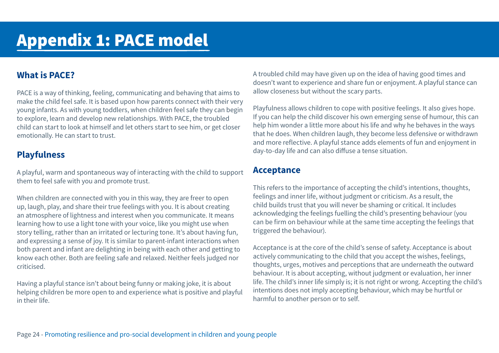## <span id="page-23-0"></span>**What is PACE?**

PACE is a way of thinking, feeling, communicating and behaving that aims to make the child feel safe. It is based upon how parents connect with their very young infants. As with young toddlers, when children feel safe they can begin to explore, learn and develop new relationships. With PACE, the troubled child can start to look at himself and let others start to see him, or get closer emotionally. He can start to trust.

## **Playfulness**

A playful, warm and spontaneous way of interacting with the child to support them to feel safe with you and promote trust.

When children are connected with you in this way, they are freer to open up, laugh, play, and share their true feelings with you. It is about creating an atmosphere of lightness and interest when you communicate. It means learning how to use a light tone with your voice, like you might use when story telling, rather than an irritated or lecturing tone. It's about having fun, and expressing a sense of joy. It is similar to parent-infant interactions when both parent and infant are delighting in being with each other and getting to know each other. Both are feeling safe and relaxed. Neither feels judged nor criticised.

Having a playful stance isn't about being funny or making joke, it is about helping children be more open to and experience what is positive and playful in their life.

A troubled child may have given up on the idea of having good times and doesn't want to experience and share fun or enjoyment. A playful stance can allow closeness but without the scary parts.

Playfulness allows children to cope with positive feelings. It also gives hope. If you can help the child discover his own emerging sense of humour, this can help him wonder a little more about his life and why he behaves in the ways that he does. When children laugh, they become less defensive or withdrawn and more reflective. A playful stance adds elements of fun and enjoyment in day-to-day life and can also diffuse a tense situation.

### **Acceptance**

This refers to the importance of accepting the child's intentions, thoughts, feelings and inner life, without judgment or criticism. As a result, the child builds trust that you will never be shaming or critical. It includes acknowledging the feelings fuelling the child's presenting behaviour (you can be firm on behaviour while at the same time accepting the feelings that triggered the behaviour).

Acceptance is at the core of the child's sense of safety. Acceptance is about actively communicating to the child that you accept the wishes, feelings, thoughts, urges, motives and perceptions that are underneath the outward behaviour. It is about accepting, without judgment or evaluation, her inner life. The child's inner life simply is; it is not right or wrong. Accepting the child's intentions does not imply accepting behaviour, which may be hurtful or harmful to another person or to self.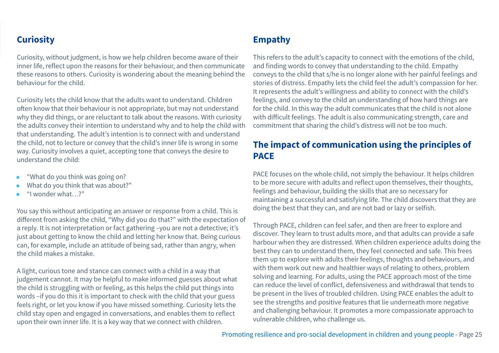## **Curiosity**

Curiosity, without judgment, is how we help children become aware of their inner life, reflect upon the reasons for their behaviour, and then communicate these reasons to others. Curiosity is wondering about the meaning behind the behaviour for the child.

Curiosity lets the child know that the adults want to understand. Children often know that their behaviour is not appropriate, but may not understand why they did things, or are reluctant to talk about the reasons. With curiosity the adults convey their intention to understand why and to help the child with that understanding. The adult's intention is to connect with and understand the child, not to lecture or convey that the child's inner life is wrong in some way. Curiosity involves a quiet, accepting tone that conveys the desire to understand the child:

- "What do you think was going on?
- What do you think that was about?"
- "I wonder what…?"

You say this without anticipating an answer or response from a child. This is different from asking the child, "Why did you do that?" with the expectation of a reply. It is not interpretation or fact gathering –you are not a detective; it's just about getting to know the child and letting her know that. Being curious can, for example, include an attitude of being sad, rather than angry, when the child makes a mistake.

A light, curious tone and stance can connect with a child in a way that judgement cannot. It may be helpful to make informed guesses about what the child is struggling with or feeling, as this helps the child put things into words –if you do this it is important to check with the child that your guess feels right, or let you know if you have missed something. Curiosity lets the child stay open and engaged in conversations, and enables them to reflect upon their own inner life. It is a key way that we connect with children.

## **Empathy**

This refers to the adult's capacity to connect with the emotions of the child, and finding words to convey that understanding to the child. Empathy conveys to the child that s/he is no longer alone with her painful feelings and stories of distress. Empathy lets the child feel the adult's compassion for her. It represents the adult's willingness and ability to connect with the child's feelings, and convey to the child an understanding of how hard things are for the child. In this way the adult communicates that the child is not alone with difficult feelings. The adult is also communicating strength, care and commitment that sharing the child's distress will not be too much.

## **The impact of communication using the principles of PACE**

PACE focuses on the whole child, not simply the behaviour. It helps children to be more secure with adults and reflect upon themselves, their thoughts, feelings and behaviour, building the skills that are so necessary for maintaining a successful and satisfying life. The child discovers that they are doing the best that they can, and are not bad or lazy or selfish.

Through PACE, children can feel safer, and then are freer to explore and discover. They learn to trust adults more, and that adults can provide a safe harbour when they are distressed. When children experience adults doing the best they can to understand them, they feel connected and safe. This frees them up to explore with adults their feelings, thoughts and behaviours, and with them work out new and healthier ways of relating to others, problem solving and learning. For adults, using the PACE approach most of the time can reduce the level of conflict, defensiveness and withdrawal that tends to be present in the lives of troubled children. Using PACE enables the adult to see the strengths and positive features that lie underneath more negative and challenging behaviour. It promotes a more compassionate approach to vulnerable children, who challenge us.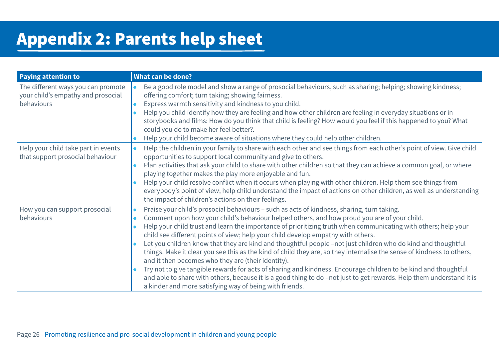## <span id="page-25-0"></span>Appendix 2: Parents help sheet

| <b>Paying attention to</b>                                                             | What can be done?                                                                                                                                                                                                                                                                                                                                                                                                                                                                                                                                                                                                                                                                                                                                                                                                                                                                                                                                                                                     |
|----------------------------------------------------------------------------------------|-------------------------------------------------------------------------------------------------------------------------------------------------------------------------------------------------------------------------------------------------------------------------------------------------------------------------------------------------------------------------------------------------------------------------------------------------------------------------------------------------------------------------------------------------------------------------------------------------------------------------------------------------------------------------------------------------------------------------------------------------------------------------------------------------------------------------------------------------------------------------------------------------------------------------------------------------------------------------------------------------------|
| The different ways you can promote<br>your child's empathy and prosocial<br>behaviours | Be a good role model and show a range of prosocial behaviours, such as sharing; helping; showing kindness;<br>offering comfort; turn taking; showing fairness.<br>Express warmth sensitivity and kindness to you child.<br>Help you child identify how they are feeling and how other children are feeling in everyday situations or in<br>storybooks and films: How do you think that child is feeling? How would you feel if this happened to you? What<br>could you do to make her feel better?.<br>Help your child become aware of situations where they could help other children.                                                                                                                                                                                                                                                                                                                                                                                                               |
| Help your child take part in events<br>that support prosocial behaviour                | Help the children in your family to share with each other and see things from each other's point of view. Give child<br>opportunities to support local community and give to others.<br>Plan activities that ask your child to share with other children so that they can achieve a common goal, or where<br>playing together makes the play more enjoyable and fun.<br>Help your child resolve conflict when it occurs when playing with other children. Help them see things from<br>everybody's point of view; help child understand the impact of actions on other children, as well as understanding<br>the impact of children's actions on their feelings.                                                                                                                                                                                                                                                                                                                                      |
| How you can support prosocial<br>behaviours                                            | Praise your child's prosocial behaviours - such as acts of kindness, sharing, turn taking.<br>Comment upon how your child's behaviour helped others, and how proud you are of your child.<br>Help your child trust and learn the importance of prioritizing truth when communicating with others; help your<br>child see different points of view; help your child develop empathy with others.<br>Let you children know that they are kind and thoughtful people -not just children who do kind and thoughtful<br>things. Make it clear you see this as the kind of child they are, so they internalise the sense of kindness to others,<br>and it then becomes who they are (their identity).<br>Try not to give tangible rewards for acts of sharing and kindness. Encourage children to be kind and thoughtful<br>and able to share with others, because it is a good thing to do -not just to get rewards. Help them understand it is<br>a kinder and more satisfying way of being with friends. |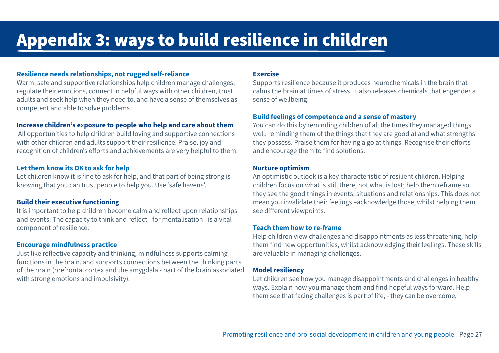## <span id="page-26-0"></span>Appendix 3: ways to build resilience in children

### **Resilience needs relationships, not rugged self-reliance**

Warm, safe and supportive relationships help children manage challenges, regulate their emotions, connect in helpful ways with other children, trust adults and seek help when they need to, and have a sense of themselves as competent and able to solve problems

#### **Increase children's exposure to people who help and care about them**

 All opportunities to help children build loving and supportive connections with other children and adults support their resilience. Praise, joy and recognition of children's efforts and achievements are very helpful to them.

#### **Let them know its OK to ask for help**

Let children know it is fine to ask for help, and that part of being strong is knowing that you can trust people to help you. Use 'safe havens'.

#### **Build their executive functioning**

It is important to help children become calm and reflect upon relationships and events. The capacity to think and reflect –for mentalisation –is a vital component of resilience.

#### **Encourage mindfulness practice**

Just like reflective capacity and thinking, mindfulness supports calming functions in the brain, and supports connections between the thinking parts of the brain (prefrontal cortex and the amygdala - part of the brain associated with strong emotions and impulsivity).

#### **Exercise**

Supports resilience because it produces neurochemicals in the brain that calms the brain at times of stress. It also releases chemicals that engender a sense of wellbeing.

#### **Build feelings of competence and a sense of mastery**

You can do this by reminding children of all the times they managed things well; reminding them of the things that they are good at and what strengths they possess. Praise them for having a go at things. Recognise their efforts and encourage them to find solutions.

#### **Nurture optimism**

An optimistic outlook is a key characteristic of resilient children. Helping children focus on what is still there, not what is lost; help them reframe so they see the good things in events, situations and relationships. This does not mean you invalidate their feelings –acknowledge those, whilst helping them see different viewpoints.

#### **Teach them how to re-frame**

Help children view challenges and disappointments as less threatening; help them find new opportunities, whilst acknowledging their feelings. These skills are valuable in managing challenges.

#### **Model resiliency**

Let children see how you manage disappointments and challenges in healthy ways. Explain how you manage them and find hopeful ways forward. Help them see that facing challenges is part of life, - they can be overcome.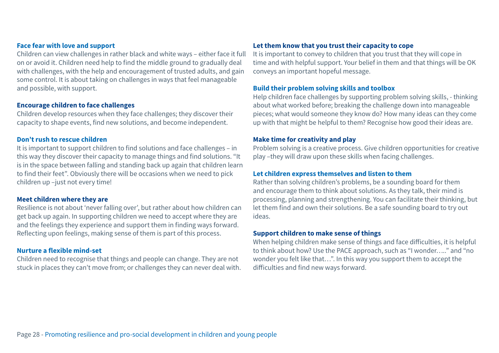### **Face fear with love and support**

Children can view challenges in rather black and white ways – either face it full on or avoid it. Children need help to find the middle ground to gradually deal with challenges, with the help and encouragement of trusted adults, and gain some control. It is about taking on challenges in ways that feel manageable and possible, with support.

#### **Encourage children to face challenges**

Children develop resources when they face challenges; they discover their capacity to shape events, find new solutions, and become independent.

#### **Don't rush to rescue children**

It is important to support children to find solutions and face challenges – in this way they discover their capacity to manage things and find solutions. "It is in the space between falling and standing back up again that children learn to find their feet". Obviously there will be occasions when we need to pick children up –just not every time!

#### **Meet children where they are**

Resilience is not about 'never falling over', but rather about how children can get back up again. In supporting children we need to accept where they are and the feelings they experience and support them in finding ways forward. Reflecting upon feelings, making sense of them is part of this process.

#### **Nurture a flexible mind-set**

Children need to recognise that things and people can change. They are not stuck in places they can't move from; or challenges they can never deal with.

### **Let them know that you trust their capacity to cope**

It is important to convey to children that you trust that they will cope in time and with helpful support. Your belief in them and that things will be OK conveys an important hopeful message.

#### **Build their problem solving skills and toolbox**

Help children face challenges by supporting problem solving skills, - thinking about what worked before; breaking the challenge down into manageable pieces; what would someone they know do? How many ideas can they come up with that might be helpful to them? Recognise how good their ideas are.

#### **Make time for creativity and play**

Problem solving is a creative process. Give children opportunities for creative play –they will draw upon these skills when facing challenges.

#### **Let children express themselves and listen to them**

Rather than solving children's problems, be a sounding board for them and encourage them to think about solutions. As they talk, their mind is processing, planning and strengthening. You can facilitate their thinking, but let them find and own their solutions. Be a safe sounding board to try out ideas.

#### **Support children to make sense of things**

When helping children make sense of things and face difficulties, it is helpful to think about how? Use the PACE approach, such as "I wonder….." and "no wonder you felt like that…". In this way you support them to accept the difficulties and find new ways forward.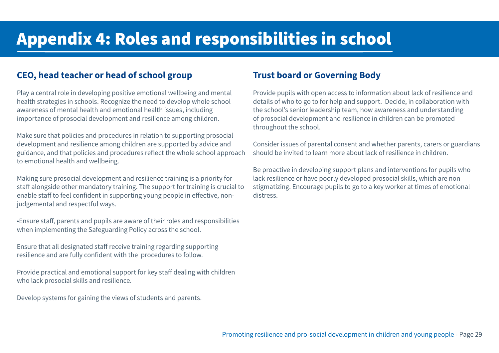## <span id="page-28-0"></span>Appendix 4: Roles and responsibilities in school

## **CEO, head teacher or head of school group**

Play a central role in developing positive emotional wellbeing and mental health strategies in schools. Recognize the need to develop whole school awareness of mental health and emotional health issues, including importance of prosocial development and resilience among children.

Make sure that policies and procedures in relation to supporting prosocial development and resilience among children are supported by advice and guidance, and that policies and procedures reflect the whole school approach to emotional health and wellbeing.

Making sure prosocial development and resilience training is a priority for staff alongside other mandatory training. The support for training is crucial to enable staff to feel confident in supporting young people in effective, nonjudgemental and respectful ways.

•Ensure staff, parents and pupils are aware of their roles and responsibilities when implementing the Safeguarding Policy across the school.

Ensure that all designated staff receive training regarding supporting resilience and are fully confident with the procedures to follow.

Provide practical and emotional support for key staff dealing with children who lack prosocial skills and resilience.

Develop systems for gaining the views of students and parents.

## **Trust board or Governing Body**

Provide pupils with open access to information about lack of resilience and details of who to go to for help and support. Decide, in collaboration with the school's senior leadership team, how awareness and understanding of prosocial development and resilience in children can be promoted throughout the school.

Consider issues of parental consent and whether parents, carers or guardians should be invited to learn more about lack of resilience in children.

Be proactive in developing support plans and interventions for pupils who lack resilience or have poorly developed prosocial skills, which are non stigmatizing. Encourage pupils to go to a key worker at times of emotional distress.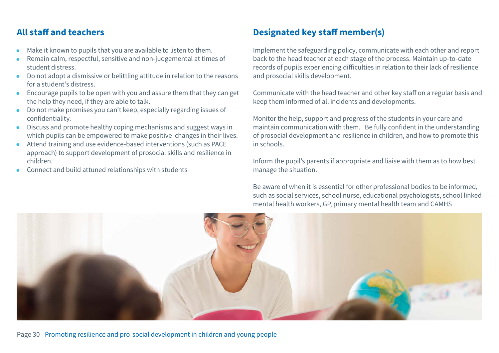## **All staff and teachers**

- Make it known to pupils that you are available to listen to them.
- Remain calm, respectful, sensitive and non-judgemental at times of student distress.
- Do not adopt a dismissive or belittling attitude in relation to the reasons for a student's distress.
- Encourage pupils to be open with you and assure them that they can get the help they need, if they are able to talk.
- Do not make promises you can't keep, especially regarding issues of confidentiality.
- Discuss and promote healthy coping mechanisms and suggest ways in which pupils can be empowered to make positive changes in their lives.
- Attend training and use evidence-based interventions (such as PACE approach) to support development of prosocial skills and resilience in children.
- Connect and build attuned relationships with students

## **Designated key staff member(s)**

Implement the safeguarding policy, communicate with each other and report back to the head teacher at each stage of the process. Maintain up-to-date records of pupils experiencing difficulties in relation to their lack of resilience and prosocial skills development.

Communicate with the head teacher and other key staff on a regular basis and keep them informed of all incidents and developments.

Monitor the help, support and progress of the students in your care and maintain communication with them. Be fully confident in the understanding of prosocial development and resilience in children, and how to promote this in schools.

Inform the pupil's parents if appropriate and liaise with them as to how best manage the situation.

Be aware of when it is essential for other professional bodies to be informed, such as social services, school nurse, educational psychologists, school linked mental health workers, GP, primary mental health team and CAMHS

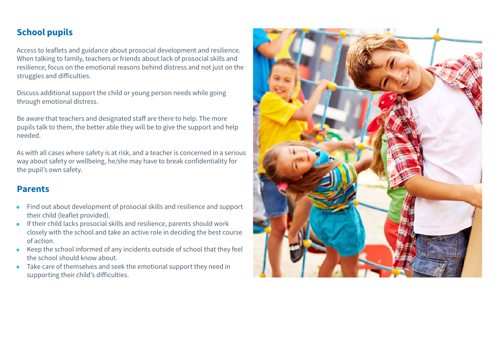## **School pupils**

Access to leaflets and guidance about prosocial development and resilience. When talking to family, teachers or friends about lack of prosocial skills and resilience, focus on the emotional reasons behind distress and not just on the struggles and difficulties.

Discuss additional support the child or young person needs while going through emotional distress.

Be aware that teachers and designated staff are there to help. The more pupils talk to them, the better able they will be to give the support and help needed.

As with all cases where safety is at risk, and a teacher is concerned in a serious way about safety or wellbeing, he/she may have to break confidentiality for the pupil's own safety.

### **Parents**

- Find out about development of prosocial skills and resilience and support their child (leaflet provided).
- If their child lacks prosocial skills and resilience, parents should work closely with the school and take an active role in deciding the best course of action.
- Keep the school informed of any incidents outside of school that they feel the school should know about.
- Take care of themselves and seek the emotional support they need in supporting their child's difficulties.